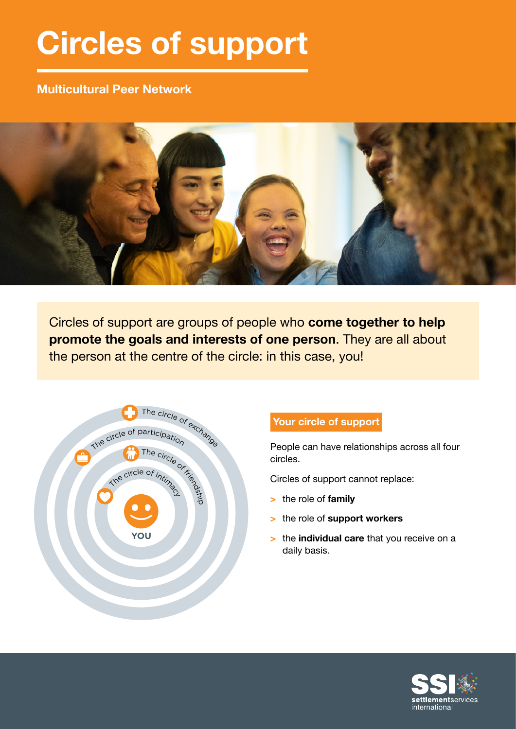# **Circles of support**

# **Multicultural Peer Network**



Circles of support are groups of people who **come together to help promote the goals and interests of one person**. They are all about the person at the centre of the circle: in this case, you!



# **Your circle of support**

People can have relationships across all four circles.

Circles of support cannot replace:

- **>** the role of **family**
- **>** the role of **support workers**
- **>** the **individual care** that you receive on a daily basis.